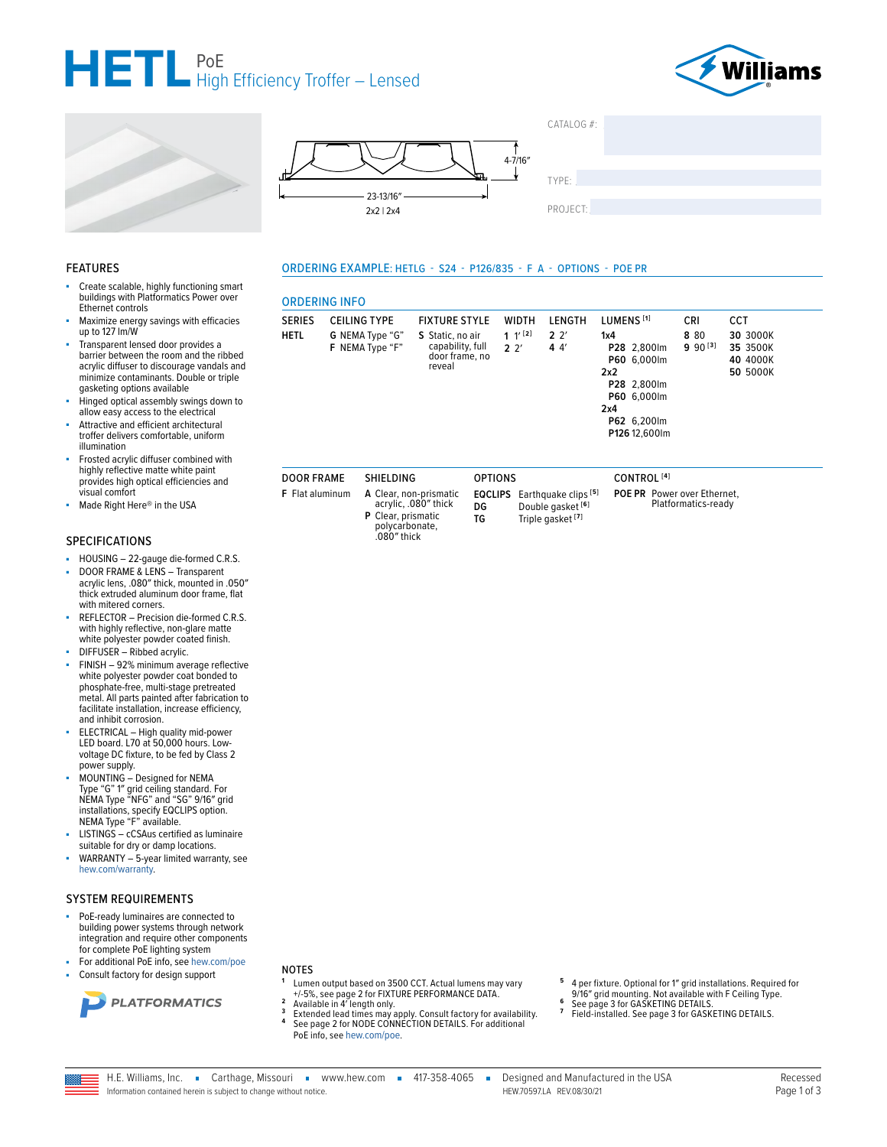







**ORDERING INFO** 

**CEILING TYPE** 

G NEMA Type "G"

F NEMA Type "F"

SHIELDING

polycarbonate,<br>.080" thick

**SERIES** 

**DOOR FRAME** 

F Flat aluminum

**HETL** 

ORDERING EXAMPLE: HETLG - S24 - P126/835 - F A - OPTIONS - POE PR

**FIXTURE STYLE** 

capability, full<br>door frame, no

S Static, no air

reveal

TYPE·

PROJECT:

LENGTH

 $2<sup>2</sup>$ 

 $44'$ 

 $CATAIOG #$ 

#### **FEATURES**

- Create scalable, highly functioning smart buildings with Platformatics Power over Ethernet controls
- Maximize energy savings with efficacies up to 127 Im/W
- Transparent lensed door provides a barrier between the room and the ribbed acrylic diffuser to discourage vandals and minimize contaminants. Double or triple gasketing options available
- Hinged optical assembly swings down to allow easy access to the electrical
- Attractive and efficient architectural troffer delivers comfortable, uniform illumination
- Frosted acrylic diffuser combined with highly reflective matte white paint provides high optical efficiencies and visual comfort
- Made Right Here® in the USA

#### **SPECIFICATIONS**

- HOUSING 22-gauge die-formed C.R.S. ä,
- DOOR FRAME & LENS Transparent ä, acrylic lens, .080" thick, mounted in .050" thick extruded aluminum door frame, flat with mitered corners.
- REFLECTOR Precision die-formed C.R.S. with highly reflective, non-glare matte<br>white polyester powder coated finish.
- DIFFUSER Ribbed acrylic.
- FINISH 92% minimum average reflective white polyester powder coat bonded to phosphate-free, multi-stage pretreated metal. All parts painted after fabrication to facilitate installation, increase efficiency, and inhibit corrosion.
- ELECTRICAL High quality mid-power<br>LED board. L70 at 50,000 hours. Lowvoltage DC fixture, to be fed by Class 2 power supply.
- MOUNTING Designed for NEMA Type "G" 1" grid ceiling standard. For<br>NEMA Type "NFG" and "SG" 9/16" grid installations, specify EQCLIPS option.<br>NEMA Type "F" available.
- LISTINGS cCSAus certified as luminaire suitable for dry or damp locations.
- WARRANTY 5-year limited warranty, see hew.com/warranty.

#### **SYSTEM REQUIREMENTS**

- PoE-ready luminaires are connected to building power systems through network integration and require other components for complete PoE lighting system
- For additional PoE info, see hew.com/poe
- Consult factory for design support



#### **NOTES**

- Lumen output based on 3500 CCT. Actual lumens may vary -different superiors of FIXTURE PERFORMANCE DATA. Available in 4' length only.
- Extended lead times may apply. Consult factory for availability.<br>See page 2 for NODE CONNECTION DETAILS. For additional  $\overline{3}$ PoE info, see hew.com/poe.
- 4 per fixture. Optional for 1" grid installations. Required for<br>9/16" grid mounting. Not available with F Ceiling Type.<br>See page 3 for GASKETING DETAILS.
- 
- $\overline{z}$ Field-installed. See page 3 for GASKETING DETAILS.

H.E. Williams, Inc. Carthage, Missouri vww.hew.com 417-358-4065 =

Information contained herein is subject to change without notice

Designed and Manufactured in the USA HFW 705971A RFV 08/30/21

| A Clear, non-prismatic<br>acrylic, .080" thick<br>P Clear, prismatic<br>polycarbonate, | DG<br>TG | <b>EQCLIPS</b> Earthquake clips<br>Double gasket [6]<br>Triple gasket <sup>[7]</sup> |
|----------------------------------------------------------------------------------------|----------|--------------------------------------------------------------------------------------|
|                                                                                        |          |                                                                                      |

**OPTIONS** quake clips <sup>[5]</sup> le gasket <sup>[6]</sup>

**WIDTH** 

 $1'$ <sup>[2]</sup>

 $2<sup>2</sup>$ 

CONTROL<sup>[4]</sup>

LUMENS<sup>[1]</sup>

P28 2,800lm

P60 6,000lm

P28 2.800lm

P60 6,000lm

P62 6,200lm

P126 12,600lm

 $1x4$ 

 $2x2$ 

 $2x4$ 

POE PR Power over Ethernet, Platformatics-ready

CRI

8 80

 $990^{[3]}$ 

CCT

30 3000K

35 3500K

40 4000K

**50 5000K**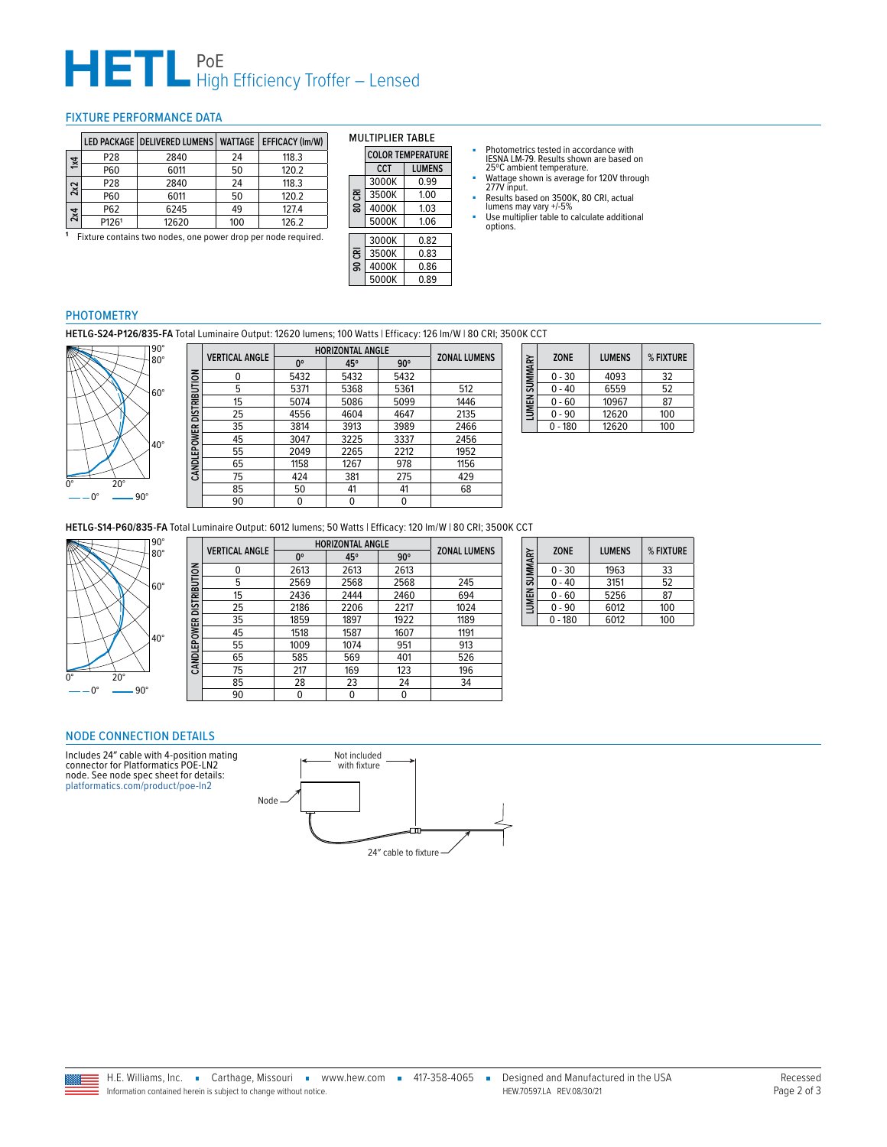# **HETL** PoE<br>
High Efficiency Troffer – Lensed

#### <span id="page-1-0"></span>FIXTURE PERFORMANCE DATA

|                         |       | LED PACKAGE   DELIVERED LUMENS   WATTAGE   EFFICACY (Im/W) |     |       |
|-------------------------|-------|------------------------------------------------------------|-----|-------|
| $\overline{\mathbf{x}}$ | P28   | 2840                                                       | 24  | 118.3 |
|                         | P60   | 6011                                                       | 50  | 120.2 |
| 2x2                     | P28   | 2840                                                       | 24  | 118.3 |
|                         | P60   | 6011                                                       | 50  | 120.2 |
| 2x4                     | P62   | 6245                                                       | 49  | 127.4 |
|                         | P1261 | 12620                                                      | 100 | 126.2 |

**<sup>1</sup>** Fixture contains two nodes, one power drop per node required.

| MULIIFLIER IADLE     |                          |      |  |  |
|----------------------|--------------------------|------|--|--|
|                      | <b>COLOR TEMPERATURE</b> |      |  |  |
| <b>LUMENS</b><br>CCT |                          |      |  |  |
|                      | 3000K                    | 0.99 |  |  |
| පි<br>ន្ល            | 3500K                    | 1.00 |  |  |
|                      | 4000K                    | 1.03 |  |  |
|                      | 5000K                    | 1.06 |  |  |
|                      | 3000K                    | 0.82 |  |  |
| පි                   | 3500K                    | 0.83 |  |  |
|                      |                          |      |  |  |
| ႙                    | 4000K                    | 0.86 |  |  |

5000K 0.89

MULTIDLIED TABLE

- Photometrics tested in accordance with IESNA LM-79. Results shown are based on 25ºC ambient temperature.
- Wattage shown is average for 120V through 277V input.
- Results based on 3500K, 80 CRI, actual lumens may vary +/-5%
- Use multiplier table to calculate additional options.

#### PHOTOMETRY

**HETLG-S24-P126/835-FA** Total Luminaire Output: 12620 lumens; 100 Watts | Efficacy: 126 lm/W | 80 CRI; 3500K CCT



|                          | <b>VERTICAL ANGLE</b> | <b>HORIZONTAL ANGLE</b> |      |            | <b>ZONAL LUMENS</b> |
|--------------------------|-----------------------|-------------------------|------|------------|---------------------|
|                          |                       | $0^{\circ}$             | 45°  | $90^\circ$ |                     |
| CANDLEPOWER DISTRIBUTION | 0                     | 5432                    | 5432 | 5432       |                     |
|                          | 5                     | 5371                    | 5368 | 5361       | 512                 |
|                          | 15                    | 5074                    | 5086 | 5099       | 1446                |
|                          | 25                    | 4556                    | 4604 | 4647       | 2135                |
|                          | 35                    | 3814                    | 3913 | 3989       | 2466                |
|                          | 45                    | 3047                    | 3225 | 3337       | 2456                |
|                          | 55                    | 2049                    | 2265 | 2212       | 1952                |
|                          | 65                    | 1158                    | 1267 | 978        | 1156                |
|                          | 75                    | 424                     | 381  | 275        | 429                 |
|                          | 85                    | 50                      | 41   | 41         | 68                  |
|                          | 90                    | 0                       | 0    | 0          |                     |
|                          |                       |                         |      |            |                     |

| LUMEN SUMMARY | <b>ZONE</b> | <b>LUMENS</b> | % FIXTURE |
|---------------|-------------|---------------|-----------|
|               | $0 - 30$    | 4093          | 32        |
|               | $0 - 40$    | 6559          | 52        |
|               | $0 - 60$    | 10967         | 87        |
|               | 0 - 90      | 12620         | 100       |
|               | $0 - 180$   | 12620         | 100       |

**HETLG-S14-P60/835-FA** Total Luminaire Output: 6012 lumens; 50 Watts | Efficacy: 120 lm/W | 80 CRI; 3500K CCT



|                          | <b>VERTICAL ANGLE</b> | <b>HORIZONTAL ANGLE</b> |      |            | <b>ZONAL LUMENS</b> |
|--------------------------|-----------------------|-------------------------|------|------------|---------------------|
|                          |                       | $0^{\circ}$             | 45°  | $90^\circ$ |                     |
|                          | 0                     | 2613                    | 2613 | 2613       |                     |
| CANDLEPOWER DISTRIBUTION | 5                     | 2569                    | 2568 | 2568       | 245                 |
|                          | 15                    | 2436                    | 2444 | 2460       | 694                 |
|                          | 25                    | 2186                    | 2206 | 2217       | 1024                |
|                          | 35                    | 1859                    | 1897 | 1922       | 1189                |
|                          | 45                    | 1518                    | 1587 | 1607       | 1191                |
|                          | 55                    | 1009                    | 1074 | 951        | 913                 |
|                          | 65                    | 585                     | 569  | 401        | 526                 |
|                          | 75                    | 217                     | 169  | 123        | 196                 |
|                          | 85                    | 28                      | 23   | 24         | 34                  |
|                          | 90                    | 0                       | 0    | 0          |                     |

|  | LUMEN SUMMARY | <b>ZONE</b> | <b>LUMENS</b> | % FIXTURE |
|--|---------------|-------------|---------------|-----------|
|  |               | $0 - 30$    | 1963          | 33        |
|  |               | $0 - 40$    | 3151          | 52        |
|  |               | $0 - 60$    | 5256          | 87        |
|  |               | $0 - 90$    | 6012          | 100       |
|  |               | $-180$      | 6012          | 100       |

### <span id="page-1-1"></span>NODE CONNECTION DETAILS

Includes 24″ cable with 4-position mating connector for Platformatics POE-LN2 node. See node spec sheet for details: [platformatics.com/product/poe-ln2](http://platformatics.com/product/poe-ln2)